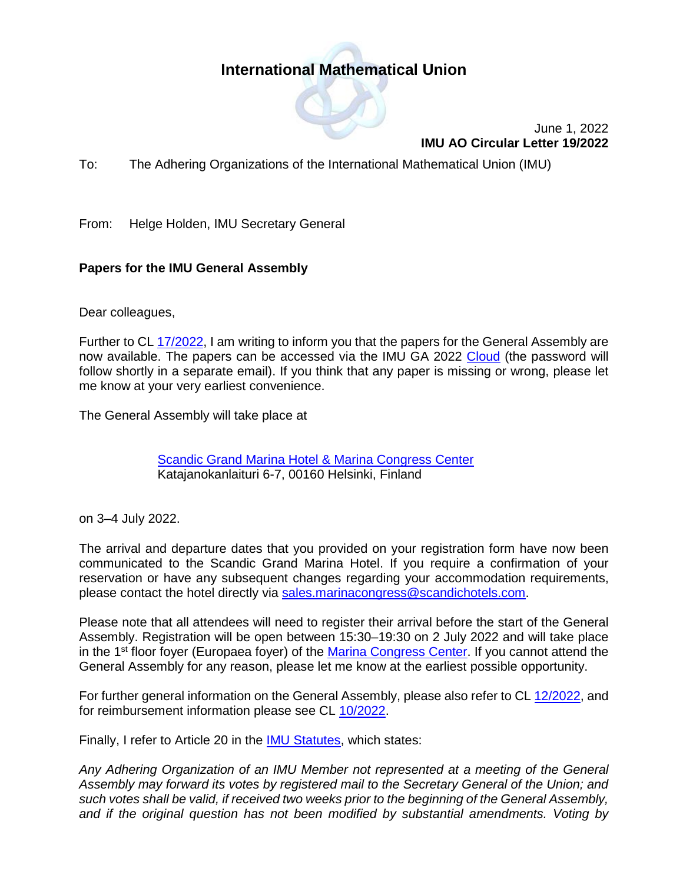## **International Mathematical Union**



June 1, 2022 **IMU AO Circular Letter 19/2022**

To: The Adhering Organizations of the International Mathematical Union (IMU)

From: Helge Holden, IMU Secretary General

## **Papers for the IMU General Assembly**

Dear colleagues,

Further to CL [17/2022,](https://www.mathunion.org/fileadmin/IMU/Publications/CircularLetters/2022/IMU%20AO%20CL%2017_2022.pdf) I am writing to inform you that the papers for the General Assembly are now available. The papers can be accessed via the IMU GA 2022 [Cloud](https://cloud.mathunion.org/index.php/s/nBeSFR9YaNAkWdP/authenticate/showShare) (the password will follow shortly in a separate email). If you think that any paper is missing or wrong, please let me know at your very earliest convenience.

The General Assembly will take place at

**Scandic [Grand Marina Hotel & Marina Congress Center](https://www.scandichotels.com/hotels/finland/helsinki/scandic-grand-marina?cmpid=ms_MailSignatureFI&_ga=2.39837987.1020138356.1649661139-746683184.1649661139)** Katajanokanlaituri 6-7, 00160 Helsinki, Finland

on 3–4 July 2022.

The arrival and departure dates that you provided on your registration form have now been communicated to the Scandic Grand Marina Hotel. If you require a confirmation of your reservation or have any subsequent changes regarding your accommodation requirements, please contact the hotel directly via [sales.marinacongress@scandichotels.com.](mailto:sales.marinacongress@scandichotels.com)

Please note that all attendees will need to register their arrival before the start of the General Assembly. Registration will be open between 15:30–19:30 on 2 July 2022 and will take place in the 1<sup>st</sup> floor foyer (Europaea foyer) of the [Marina Congress Center.](https://scandichotels.visualizer360.com/en/scandic-grand-marina?p=34342&h=0&v=0&f=0.78#34310,34342,0,0) If you cannot attend the General Assembly for any reason, please let me know at the earliest possible opportunity.

For further general information on the General Assembly, please also refer to CL [12/2022,](https://www.mathunion.org/fileadmin/IMU/Publications/CircularLetters/2022/IMU%20AO%20CL%2012_2022.pdf) and for reimbursement information please see CL [10/2022.](https://www.mathunion.org/fileadmin/IMU/Publications/CircularLetters/2022/IMU%20AO%20CL%2010_2022.pdf)

Finally, I refer to Article 20 in the **IMU Statutes**, which states:

*Any Adhering Organization of an IMU Member not represented at a meeting of the General Assembly may forward its votes by registered mail to the Secretary General of the Union; and such votes shall be valid, if received two weeks prior to the beginning of the General Assembly, and if the original question has not been modified by substantial amendments. Voting by*